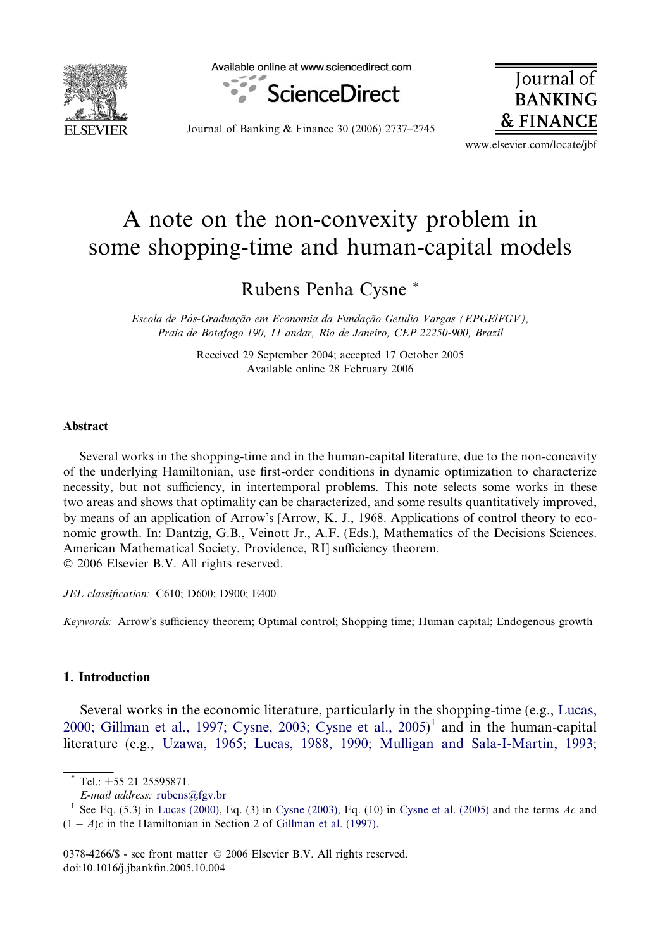

Available online at www.sciencedirect.com



Iournal **BANKING & FINANCE** 

Journal of Banking & Finance 30 (2006) 2737–2745

www.elsevier.com/locate/jbf

## A note on the non-convexity problem in some shopping-time and human-capital models

Rubens Penha Cysne \*

Escola de Pós-Graduação em Economia da Fundação Getulio Vargas (EPGE/FGV), Praia de Botafogo 190, 11 andar, Rio de Janeiro, CEP 22250-900, Brazil

> Received 29 September 2004; accepted 17 October 2005 Available online 28 February 2006

#### Abstract

Several works in the shopping-time and in the human-capital literature, due to the non-concavity of the underlying Hamiltonian, use first-order conditions in dynamic optimization to characterize necessity, but not sufficiency, in intertemporal problems. This note selects some works in these two areas and shows that optimality can be characterized, and some results quantitatively improved, by means of an application of Arrow's [Arrow, K. J., 1968. Applications of control theory to economic growth. In: Dantzig, G.B., Veinott Jr., A.F. (Eds.), Mathematics of the Decisions Sciences. American Mathematical Society, Providence, RI] sufficiency theorem. © 2006 Elsevier B.V. All rights reserved.

JEL classification: C610; D600; D900; E400

Keywords: Arrow's sufficiency theorem; Optimal control; Shopping time; Human capital; Endogenous growth

### 1. Introduction

Several works in the economic literature, particularly in the shopping-time (e.g., [Lucas,](#page--1-0) [2000; Gillman et al., 1997; Cysne, 2003; Cysne et al., 2005](#page--1-0)) <sup>1</sup> and in the human-capital literature (e.g., [Uzawa, 1965; Lucas, 1988, 1990; Mulligan and Sala-I-Martin, 1993;](#page--1-0)

<sup>\*</sup> Tel.: +55 21 25595871.

E-mail address: [rubens@fgv.br](mailto:rubens@fgv.br)<br><sup>1</sup> See Eq. (5.3) in [Lucas \(2000\)](#page--1-0), Eq. (3) in [Cysne \(2003\)](#page--1-0), Eq. (10) in [Cysne et al. \(2005\)](#page--1-0) and the terms Ac and  $(1 - A)c$  in the Hamiltonian in Section 2 of [Gillman et al. \(1997\)](#page--1-0).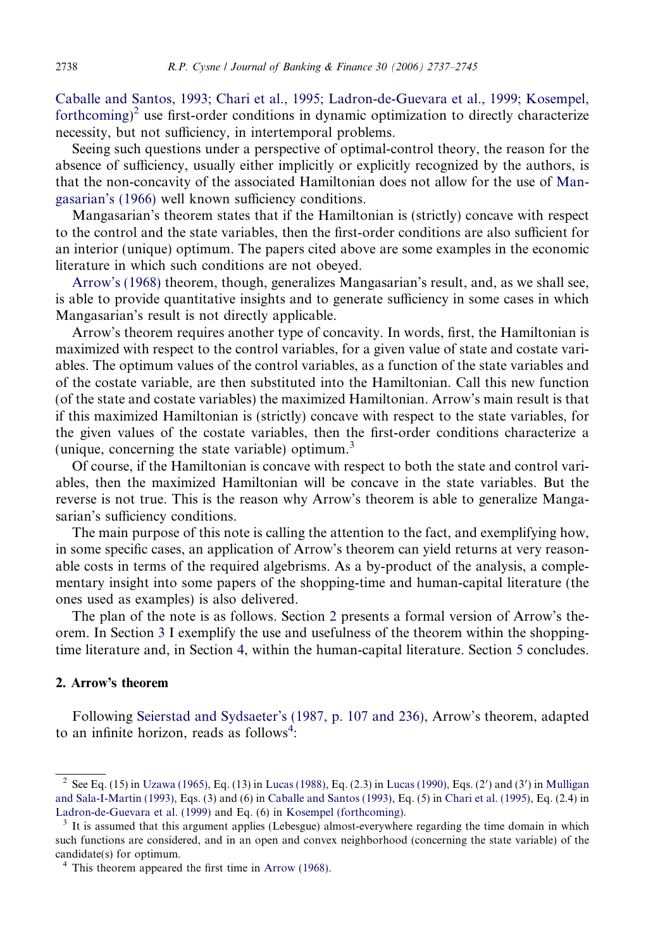[Caballe and Santos, 1993; Chari et al., 1995; Ladron-de-Guevara et al., 1999; Kosempel,](#page--1-0) [forthcoming\)](#page--1-0) <sup>2</sup> use first-order conditions in dynamic optimization to directly characterize necessity, but not sufficiency, in intertemporal problems.

Seeing such questions under a perspective of optimal-control theory, the reason for the absence of sufficiency, usually either implicitly or explicitly recognized by the authors, is that the non-concavity of the associated Hamiltonian does not allow for the use of [Man](#page--1-0)[gasarian's \(1966\)](#page--1-0) well known sufficiency conditions.

Mangasarian's theorem states that if the Hamiltonian is (strictly) concave with respect to the control and the state variables, then the first-order conditions are also sufficient for an interior (unique) optimum. The papers cited above are some examples in the economic literature in which such conditions are not obeyed.

[Arrow's \(1968\)](#page--1-0) theorem, though, generalizes Mangasarian's result, and, as we shall see, is able to provide quantitative insights and to generate sufficiency in some cases in which Mangasarian's result is not directly applicable.

Arrow's theorem requires another type of concavity. In words, first, the Hamiltonian is maximized with respect to the control variables, for a given value of state and costate variables. The optimum values of the control variables, as a function of the state variables and of the costate variable, are then substituted into the Hamiltonian. Call this new function (of the state and costate variables) the maximized Hamiltonian. Arrow's main result is that if this maximized Hamiltonian is (strictly) concave with respect to the state variables, for the given values of the costate variables, then the first-order conditions characterize a (unique, concerning the state variable) optimum.<sup>3</sup>

Of course, if the Hamiltonian is concave with respect to both the state and control variables, then the maximized Hamiltonian will be concave in the state variables. But the reverse is not true. This is the reason why Arrow's theorem is able to generalize Mangasarian's sufficiency conditions.

The main purpose of this note is calling the attention to the fact, and exemplifying how, in some specific cases, an application of Arrow's theorem can yield returns at very reasonable costs in terms of the required algebrisms. As a by-product of the analysis, a complementary insight into some papers of the shopping-time and human-capital literature (the ones used as examples) is also delivered.

The plan of the note is as follows. Section 2 presents a formal version of Arrow's theorem. In Section [3](#page--1-0) I exemplify the use and usefulness of the theorem within the shoppingtime literature and, in Section [4](#page--1-0), within the human-capital literature. Section [5](#page--1-0) concludes.

### 2. Arrow's theorem

Following [Seierstad and Sydsaeter's \(1987, p. 107 and 236\)](#page--1-0), Arrow's theorem, adapted to an infinite horizon, reads as follows<sup>4</sup>:

<sup>&</sup>lt;sup>2</sup> See Eq. (15) in [Uzawa \(1965\),](#page--1-0) Eq. (13) in [Lucas \(1988\)](#page--1-0), Eq. (2.3) in [Lucas \(1990\)](#page--1-0), Eqs. (2') and (3') in [Mulligan](#page--1-0) [and Sala-I-Martin \(1993\),](#page--1-0) Eqs. (3) and (6) in [Caballe and Santos \(1993\),](#page--1-0) Eq. (5) in [Chari et al. \(1995\)](#page--1-0), Eq. (2.4) in [Ladron-de-Guevara et al. \(1999\)](#page--1-0) and Eq. (6) in [Kosempel \(forthcoming\)](#page--1-0).<br><sup>3</sup> It is assumed that this argument applies (Lebesgue) almost-everywhere regarding the time domain in which

such functions are considered, and in an open and convex neighborhood (concerning the state variable) of the candidate(s) for optimum.

<sup>4</sup> This theorem appeared the first time in [Arrow \(1968\).](#page--1-0)